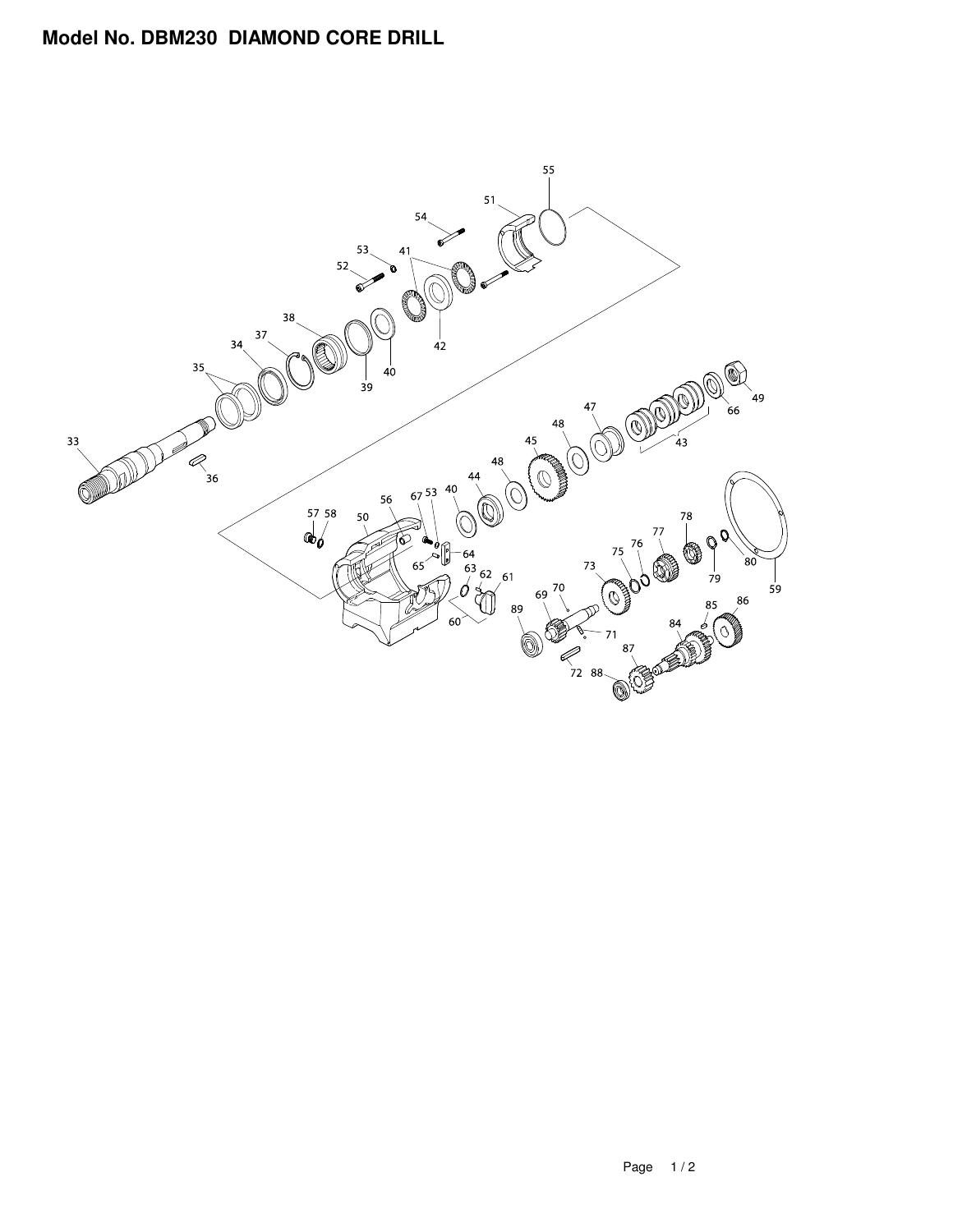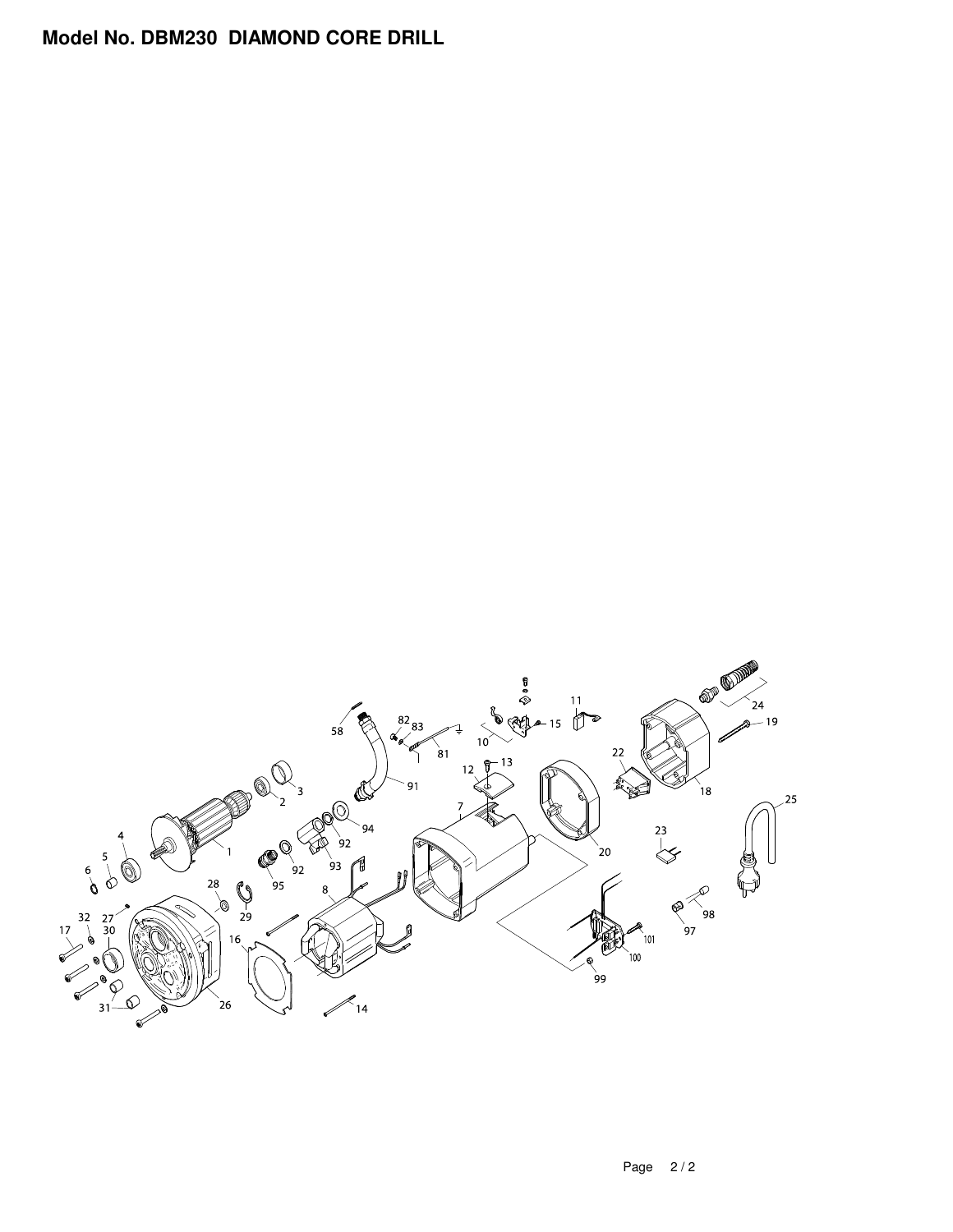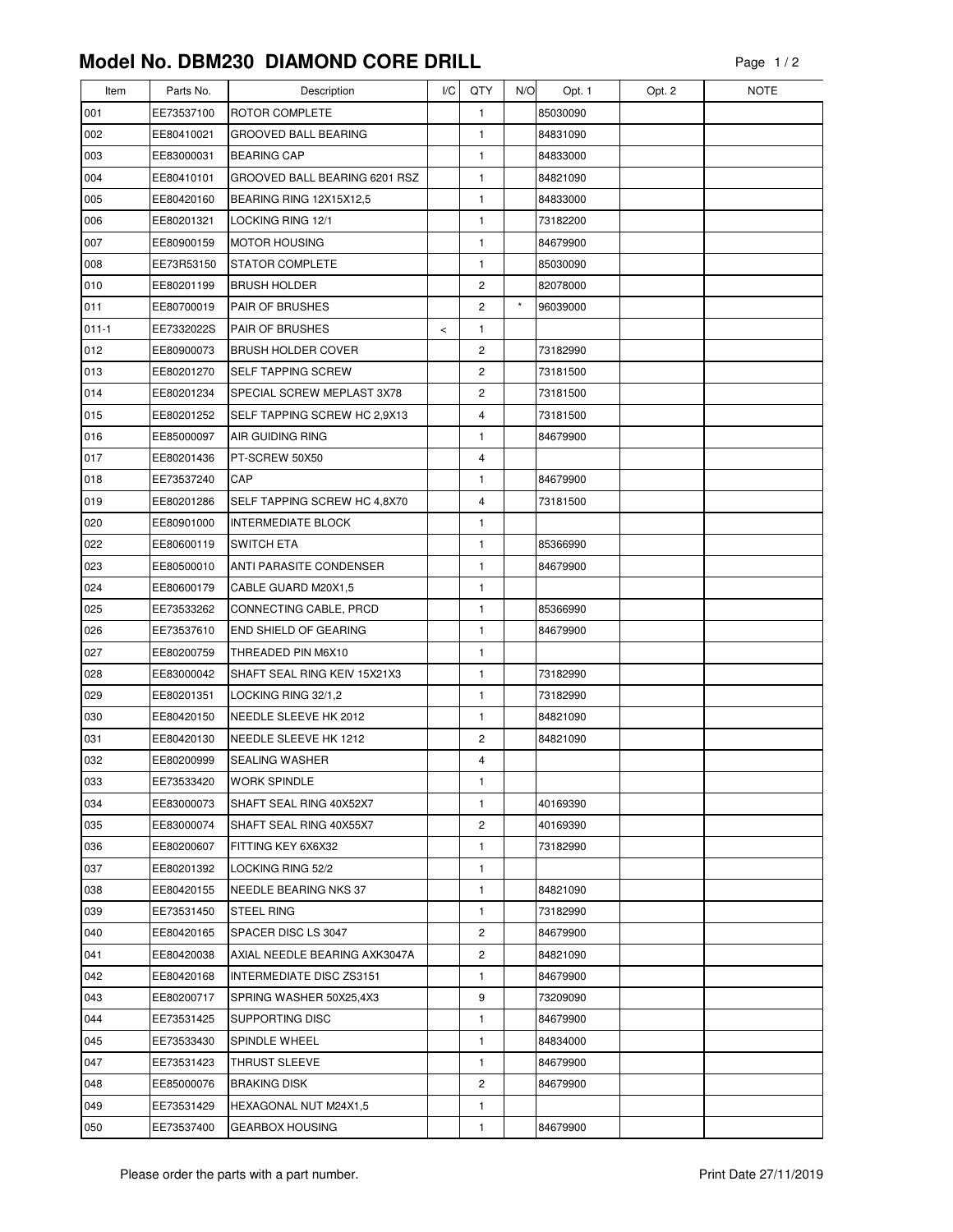| Item       | Parts No.                | Description                              | I/C   | QTY          | N/O     | Opt. 1               | Opt. 2 | <b>NOTE</b> |
|------------|--------------------------|------------------------------------------|-------|--------------|---------|----------------------|--------|-------------|
| 001        | EE73537100               | <b>ROTOR COMPLETE</b>                    |       | 1            |         | 85030090             |        |             |
| 002        | EE80410021               | <b>GROOVED BALL BEARING</b>              |       | 1            |         | 84831090             |        |             |
| 003        | EE83000031               | <b>BEARING CAP</b>                       |       | 1            |         | 84833000             |        |             |
| 004        | EE80410101               | GROOVED BALL BEARING 6201 RSZ            |       | $\mathbf{1}$ |         | 84821090             |        |             |
| 005        | EE80420160               | BEARING RING 12X15X12,5                  |       | 1            |         | 84833000             |        |             |
| 006        | EE80201321               | LOCKING RING 12/1                        |       | 1            |         | 73182200             |        |             |
| 007        | EE80900159               | <b>MOTOR HOUSING</b>                     |       | $\mathbf{1}$ |         | 84679900             |        |             |
| 008        | EE73R53150               | <b>STATOR COMPLETE</b>                   |       | 1            |         | 85030090             |        |             |
| 010        | EE80201199               | <b>BRUSH HOLDER</b>                      |       | 2            |         | 82078000             |        |             |
| 011        | EE80700019               | PAIR OF BRUSHES                          |       | 2            | $\star$ | 96039000             |        |             |
| $011 - 1$  | EE7332022S               | PAIR OF BRUSHES                          | $\,<$ | 1            |         |                      |        |             |
| 012        | EE80900073               | <b>BRUSH HOLDER COVER</b>                |       | 2            |         | 73182990             |        |             |
| 013        | EE80201270               | SELF TAPPING SCREW                       |       | 2            |         | 73181500             |        |             |
| 014        | EE80201234               | SPECIAL SCREW MEPLAST 3X78               |       | 2            |         | 73181500             |        |             |
| 015        | EE80201252               | SELF TAPPING SCREW HC 2,9X13             |       | 4            |         | 73181500             |        |             |
| 016        | EE85000097               | AIR GUIDING RING                         |       | 1            |         | 84679900             |        |             |
| 017        | EE80201436               | PT-SCREW 50X50                           |       | 4            |         |                      |        |             |
| 018        | EE73537240               | CAP                                      |       | 1            |         | 84679900             |        |             |
| 019        | EE80201286               | SELF TAPPING SCREW HC 4,8X70             |       | 4            |         | 73181500             |        |             |
| 020        | EE80901000               | <b>INTERMEDIATE BLOCK</b>                |       | $\mathbf{1}$ |         |                      |        |             |
| 022        | EE80600119               | <b>SWITCH ETA</b>                        |       | 1            |         | 85366990             |        |             |
| 023        | EE80500010               | ANTI PARASITE CONDENSER                  |       | 1            |         | 84679900             |        |             |
| 024        | EE80600179               | CABLE GUARD M20X1,5                      |       | 1            |         |                      |        |             |
| 025        | EE73533262               | CONNECTING CABLE, PRCD                   |       | 1            |         | 85366990             |        |             |
| 026        | EE73537610               | END SHIELD OF GEARING                    |       | 1            |         | 84679900             |        |             |
| 027        | EE80200759               | THREADED PIN M6X10                       |       | 1            |         |                      |        |             |
| 028        | EE83000042               | SHAFT SEAL RING KEIV 15X21X3             |       | 1            |         | 73182990             |        |             |
| 029        | EE80201351               | LOCKING RING 32/1,2                      |       | 1            |         | 73182990             |        |             |
| 030        | EE80420150               | NEEDLE SLEEVE HK 2012                    |       | 1            |         | 84821090             |        |             |
| 031        | EE80420130               | NEEDLE SLEEVE HK 1212                    |       | 2            |         | 84821090             |        |             |
| 032        | EE80200999               | <b>SEALING WASHER</b>                    |       | 4            |         |                      |        |             |
| 033        | EE73533420               | <b>WORK SPINDLE</b>                      |       | 1            |         |                      |        |             |
| 034        | EE83000073               | SHAFT SEAL RING 40X52X7                  |       | 1            |         | 40169390             |        |             |
| 035        | EE83000074               | SHAFT SEAL RING 40X55X7                  |       | 2            |         | 40169390             |        |             |
| 036        | EE80200607               | FITTING KEY 6X6X32                       |       | 1            |         | 73182990             |        |             |
| 037        | EE80201392               | LOCKING RING 52/2                        |       | 1            |         |                      |        |             |
| 038        | EE80420155               | NEEDLE BEARING NKS 37                    |       | 1            |         | 84821090             |        |             |
| 039<br>040 | EE73531450<br>EE80420165 | <b>STEEL RING</b><br>SPACER DISC LS 3047 |       | 1<br>2       |         | 73182990<br>84679900 |        |             |
| 041        | EE80420038               | AXIAL NEEDLE BEARING AXK3047A            |       | 2            |         | 84821090             |        |             |
| 042        | EE80420168               | <b>INTERMEDIATE DISC ZS3151</b>          |       | 1            |         | 84679900             |        |             |
| 043        | EE80200717               | SPRING WASHER 50X25,4X3                  |       | 9            |         | 73209090             |        |             |
| 044        | EE73531425               | <b>SUPPORTING DISC</b>                   |       | 1            |         | 84679900             |        |             |
| 045        | EE73533430               | <b>SPINDLE WHEEL</b>                     |       | 1            |         | 84834000             |        |             |
| 047        | EE73531423               | <b>THRUST SLEEVE</b>                     |       | 1            |         | 84679900             |        |             |
| 048        | EE85000076               | <b>BRAKING DISK</b>                      |       | 2            |         | 84679900             |        |             |
| 049        | EE73531429               | HEXAGONAL NUT M24X1,5                    |       | 1            |         |                      |        |             |
| 050        | EE73537400               | <b>GEARBOX HOUSING</b>                   |       | 1            |         | 84679900             |        |             |